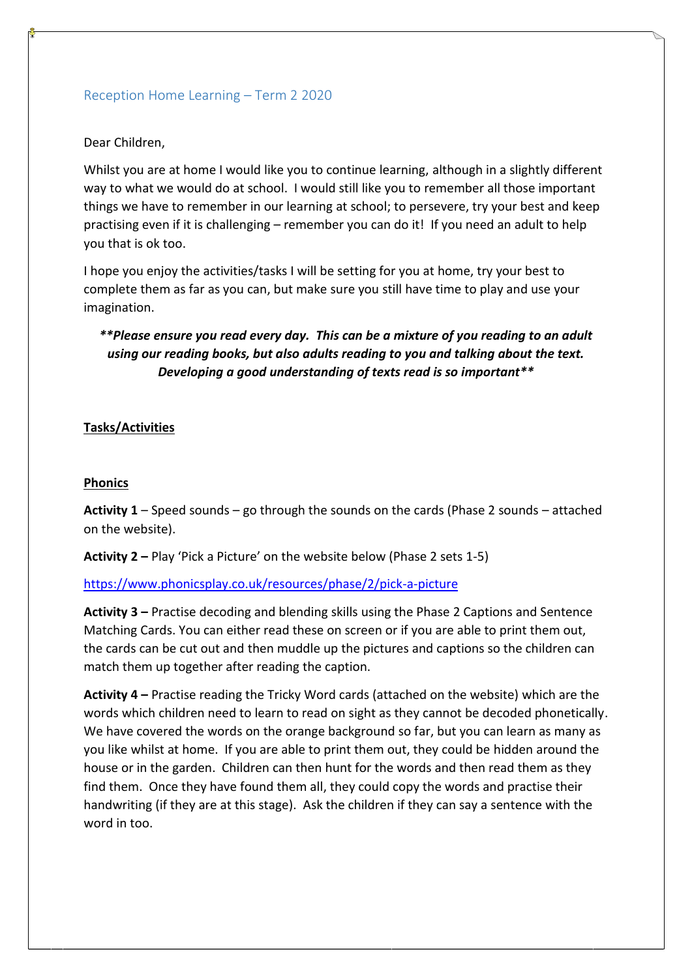## Reception Home Learning – Term 2 2020

#### Dear Children,

Whilst you are at home I would like you to continue learning, although in a slightly different way to what we would do at school. I would still like you to remember all those important things we have to remember in our learning at school; to persevere, try your best and keep practising even if it is challenging – remember you can do it! If you need an adult to help you that is ok too.

I hope you enjoy the activities/tasks I will be setting for you at home, try your best to complete them as far as you can, but make sure you still have time to play and use your imagination.

# *\*\*Please ensure you read every day. This can be a mixture of you reading to an adult using our reading books, but also adults reading to you and talking about the text. Developing a good understanding of texts read is so important\*\**

### **Tasks/Activities**

#### **Phonics**

**Activity 1** – Speed sounds – go through the sounds on the cards (Phase 2 sounds – attached on the website).

**Activity 2 –** Play 'Pick a Picture' on the website below (Phase 2 sets 1-5)

#### <https://www.phonicsplay.co.uk/resources/phase/2/pick-a-picture>

**Activity 3 –** Practise decoding and blending skills using the Phase 2 Captions and Sentence Matching Cards. You can either read these on screen or if you are able to print them out, the cards can be cut out and then muddle up the pictures and captions so the children can match them up together after reading the caption.

**Activity 4 –** Practise reading the Tricky Word cards (attached on the website) which are the words which children need to learn to read on sight as they cannot be decoded phonetically. We have covered the words on the orange background so far, but you can learn as many as you like whilst at home. If you are able to print them out, they could be hidden around the house or in the garden. Children can then hunt for the words and then read them as they find them. Once they have found them all, they could copy the words and practise their handwriting (if they are at this stage). Ask the children if they can say a sentence with the word in too.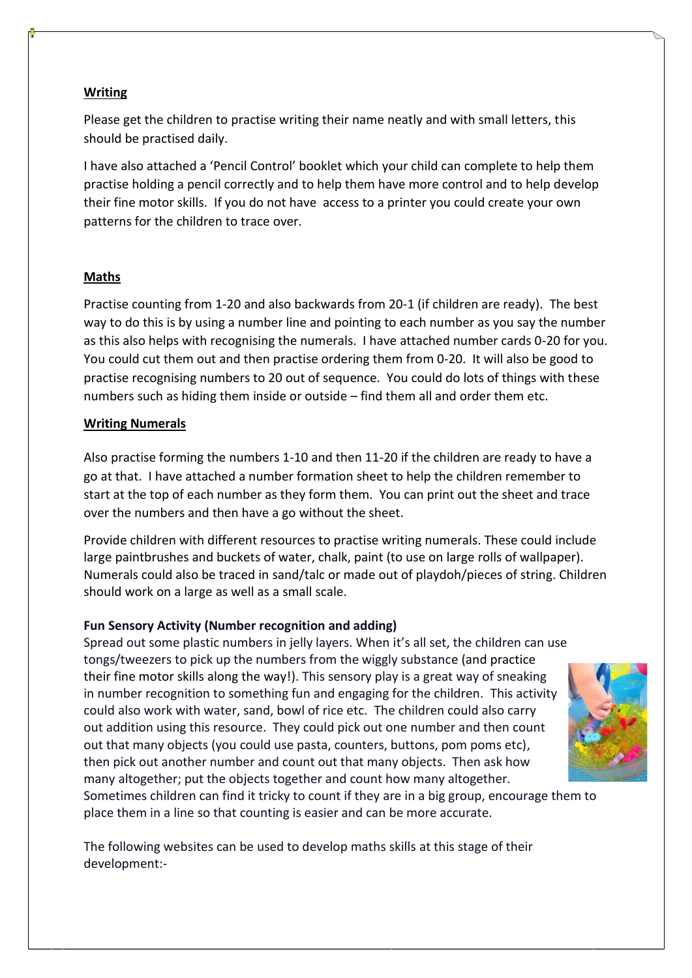### **Writing**

Please get the children to practise writing their name neatly and with small letters, this should be practised daily.

I have also attached a 'Pencil Control' booklet which your child can complete to help them practise holding a pencil correctly and to help them have more control and to help develop their fine motor skills. If you do not have access to a printer you could create your own patterns for the children to trace over.

#### **Maths**

Practise counting from 1-20 and also backwards from 20-1 (if children are ready). The best way to do this is by using a number line and pointing to each number as you say the number as this also helps with recognising the numerals. I have attached number cards 0-20 for you. You could cut them out and then practise ordering them from 0-20. It will also be good to practise recognising numbers to 20 out of sequence. You could do lots of things with these numbers such as hiding them inside or outside – find them all and order them etc.

#### **Writing Numerals**

Also practise forming the numbers 1-10 and then 11-20 if the children are ready to have a go at that. I have attached a number formation sheet to help the children remember to start at the top of each number as they form them. You can print out the sheet and trace over the numbers and then have a go without the sheet.

Provide children with different resources to practise writing numerals. These could include large paintbrushes and buckets of water, chalk, paint (to use on large rolls of wallpaper). Numerals could also be traced in sand/talc or made out of playdoh/pieces of string. Children should work on a large as well as a small scale.

#### **Fun Sensory Activity (Number recognition and adding)**

Spread out some plastic numbers in jelly layers. When it's all set, the children can use tongs/tweezers to pick up the numbers from the wiggly substance [\(and practice](https://famly.co/blog/inspiration/5-of-the-finest-activities-for-fine-motor-skills/)  [their fine motor skills along the way!\)](https://famly.co/blog/inspiration/5-of-the-finest-activities-for-fine-motor-skills/). This sensory play is a great way of sneaking in number recognition to something fun and engaging for the children. This activity could also work with water, sand, bowl of rice etc. The children could also carry out addition using this resource. They could pick out one number and then count out that many objects (you could use pasta, counters, buttons, pom poms etc), then pick out another number and count out that many objects. Then ask how many altogether; put the objects together and count how many altogether.



Sometimes children can find it tricky to count if they are in a big group, encourage them to place them in a line so that counting is easier and can be more accurate.

The following websites can be used to develop maths skills at this stage of their development:-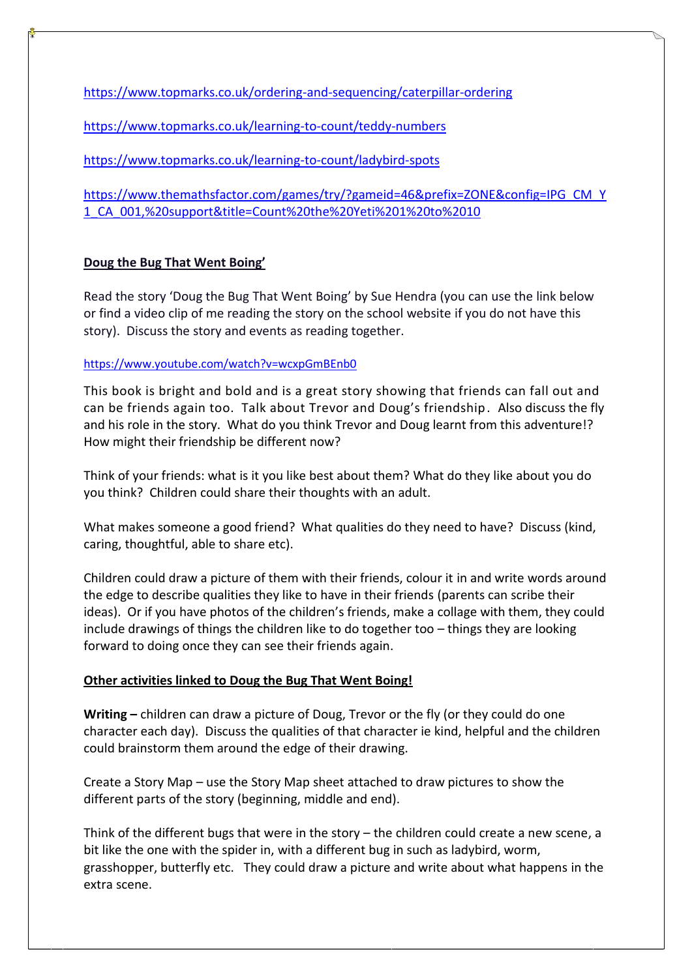<https://www.topmarks.co.uk/ordering-and-sequencing/caterpillar-ordering>

<https://www.topmarks.co.uk/learning-to-count/teddy-numbers>

<https://www.topmarks.co.uk/learning-to-count/ladybird-spots>

[https://www.themathsfactor.com/games/try/?gameid=46&prefix=ZONE&config=IPG\\_CM\\_Y](https://www.themathsfactor.com/games/try/?gameid=46&prefix=ZONE&config=IPG_CM_Y1_CA_001,%20support&title=Count%20the%20Yeti%201%20to%2010) [1\\_CA\\_001,%20support&title=Count%20the%20Yeti%201%20to%2010](https://www.themathsfactor.com/games/try/?gameid=46&prefix=ZONE&config=IPG_CM_Y1_CA_001,%20support&title=Count%20the%20Yeti%201%20to%2010)

## **Doug the Bug That Went Boing'**

Read the story 'Doug the Bug That Went Boing' by Sue Hendra (you can use the link below or find a video clip of me reading the story on the school website if you do not have this story). Discuss the story and events as reading together.

### <https://www.youtube.com/watch?v=wcxpGmBEnb0>

This book is bright and bold and is a great story showing that friends can fall out and can be friends again too. Talk about Trevor and Doug's friendship. Also discuss the fly and his role in the story. What do you think Trevor and Doug learnt from this adventure!? How might their friendship be different now?

Think of your friends: what is it you like best about them? What do they like about you do you think? Children could share their thoughts with an adult.

What makes someone a good friend? What qualities do they need to have? Discuss (kind, caring, thoughtful, able to share etc).

Children could draw a picture of them with their friends, colour it in and write words around the edge to describe qualities they like to have in their friends (parents can scribe their ideas). Or if you have photos of the children's friends, make a collage with them, they could include drawings of things the children like to do together too – things they are looking forward to doing once they can see their friends again.

## **Other activities linked to Doug the Bug That Went Boing!**

**Writing –** children can draw a picture of Doug, Trevor or the fly (or they could do one character each day). Discuss the qualities of that character ie kind, helpful and the children could brainstorm them around the edge of their drawing.

Create a Story Map – use the Story Map sheet attached to draw pictures to show the different parts of the story (beginning, middle and end).

Think of the different bugs that were in the story – the children could create a new scene, a bit like the one with the spider in, with a different bug in such as ladybird, worm, grasshopper, butterfly etc. They could draw a picture and write about what happens in the extra scene.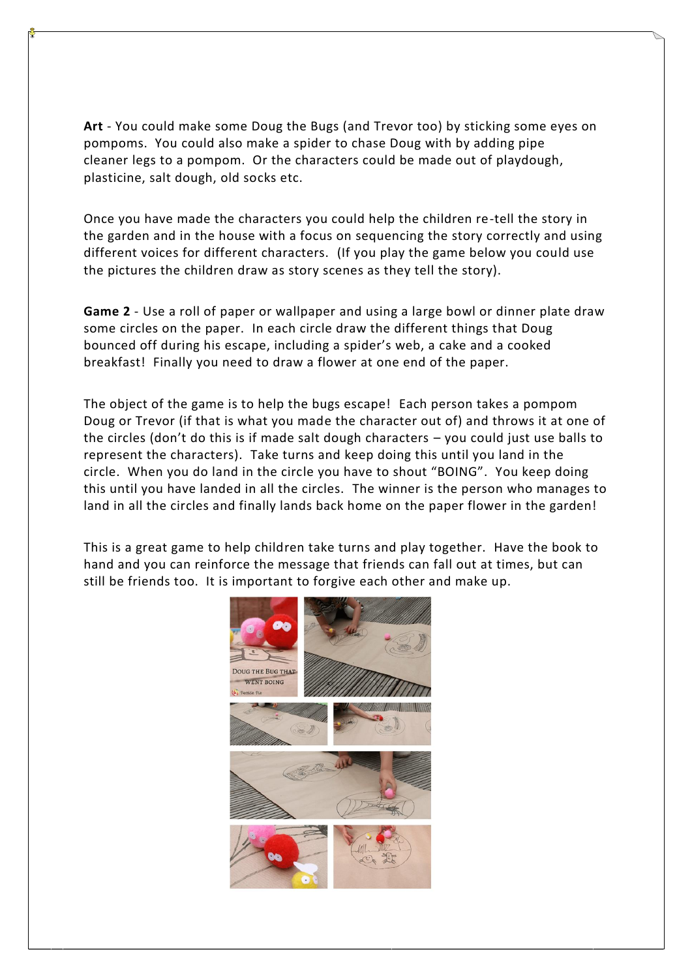**Art** - You could make some Doug the Bugs (and Trevor too) by sticking some eyes on pompoms. You could also make a spider to chase Doug with by adding pipe cleaner legs to a pompom. Or the characters could be made out of playdough, plasticine, salt dough, old socks etc.

Once you have made the characters you could help the children re-tell the story in the garden and in the house with a focus on sequencing the story correctly and using different voices for different characters. (If you play the game below you could use the pictures the children draw as story scenes as they tell the story).

**Game 2** - Use a roll of paper or wallpaper and using a large bowl or dinner plate draw some circles on the paper. In each circle draw the different things that Doug bounced off during his escape, including a spider's web, a cake and a cooked breakfast! Finally you need to draw a flower at one end of the paper.

The object of the game is to help the bugs escape! Each person takes a pompom Doug or Trevor (if that is what you made the character out of) and throws it at one of the circles (don't do this is if made salt dough characters – you could just use balls to represent the characters). Take turns and keep doing this until you land in the circle. When you do land in the circle you have to shout "BOING". You keep doing this until you have landed in all the circles. The winner is the person who manages to land in all the circles and finally lands back home on the paper flower in the garden!

This is a great game to help children take turns and play together. Have the book to hand and you can reinforce the message that friends can fall out at times, but can still be friends too. It is important to forgive each other and make up.